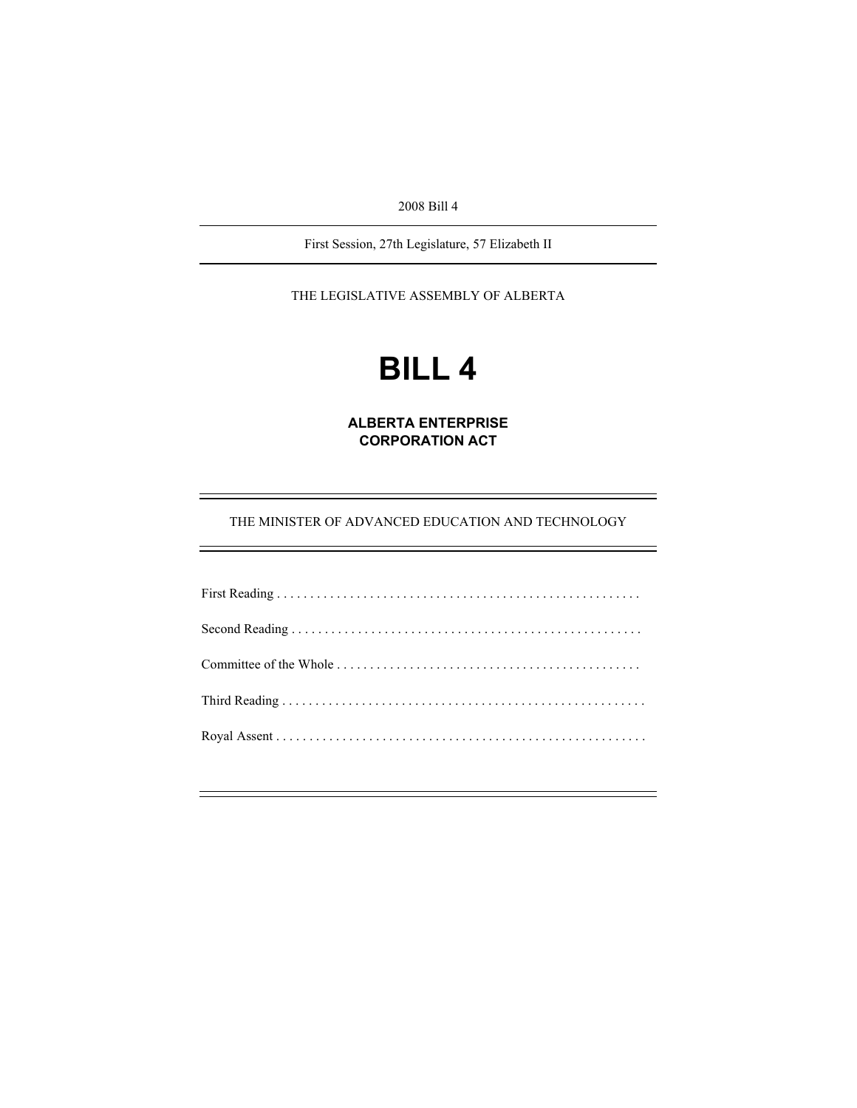2008 Bill 4

First Session, 27th Legislature, 57 Elizabeth II

THE LEGISLATIVE ASSEMBLY OF ALBERTA

# **BILL 4**

**ALBERTA ENTERPRISE CORPORATION ACT** 

THE MINISTER OF ADVANCED EDUCATION AND TECHNOLOGY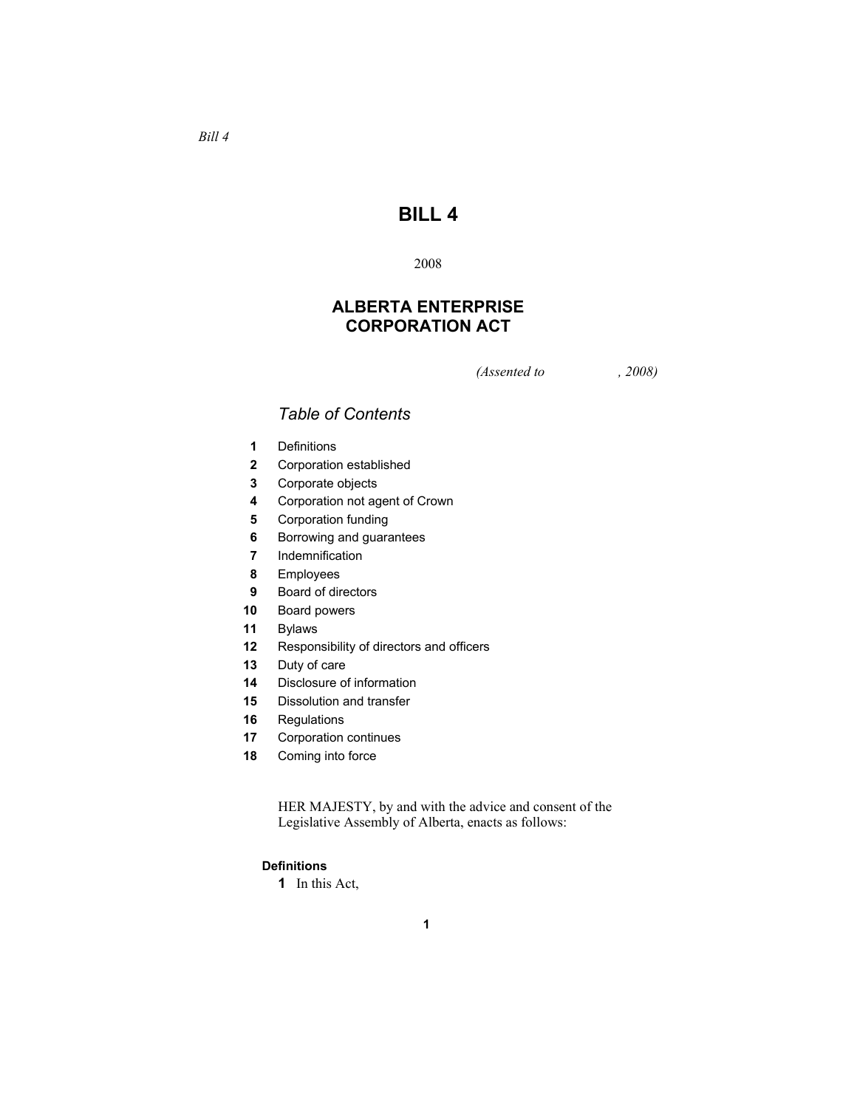## **BILL 4**

#### 

## **ALBERTA ENTERPRISE CORPORATION ACT**

*(Assented to , 2008)* 

### *Table of Contents*

- Definitions
- Corporation established
- Corporate objects
- Corporation not agent of Crown
- Corporation funding
- Borrowing and guarantees
- Indemnification
- Employees
- Board of directors
- Board powers
- Bylaws
- Responsibility of directors and officers
- Duty of care
- Disclosure of information
- Dissolution and transfer
- Regulations
- Corporation continues
- Coming into force

HER MAJESTY, by and with the advice and consent of the Legislative Assembly of Alberta, enacts as follows:

#### **Definitions**

In this Act,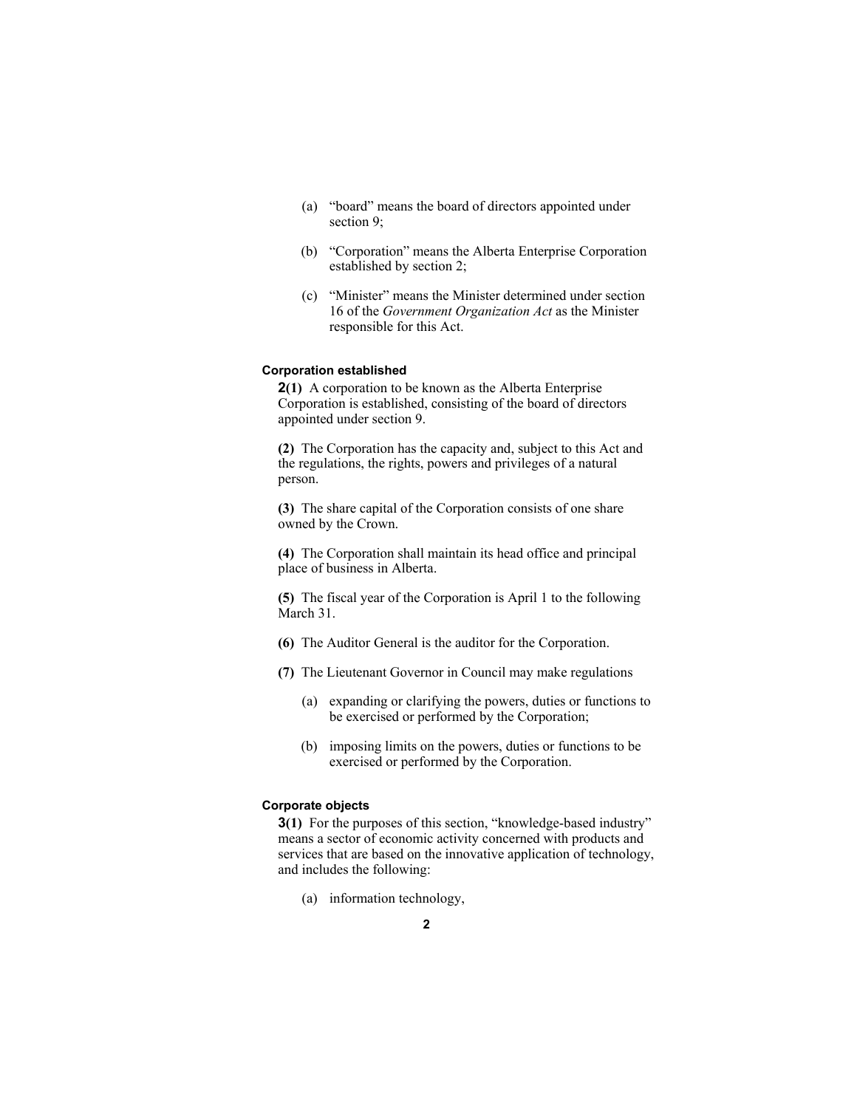- (a) "board" means the board of directors appointed under section 9;
- (b) "Corporation" means the Alberta Enterprise Corporation established by section 2;
- (c) "Minister" means the Minister determined under section 16 of the *Government Organization Act* as the Minister responsible for this Act.

#### **Corporation established**

**2(1)** A corporation to be known as the Alberta Enterprise Corporation is established, consisting of the board of directors appointed under section 9.

**(2)** The Corporation has the capacity and, subject to this Act and the regulations, the rights, powers and privileges of a natural person.

**(3)** The share capital of the Corporation consists of one share owned by the Crown.

**(4)** The Corporation shall maintain its head office and principal place of business in Alberta.

**(5)** The fiscal year of the Corporation is April 1 to the following March 31.

- **(6)** The Auditor General is the auditor for the Corporation.
- **(7)** The Lieutenant Governor in Council may make regulations
	- (a) expanding or clarifying the powers, duties or functions to be exercised or performed by the Corporation;
	- (b) imposing limits on the powers, duties or functions to be exercised or performed by the Corporation.

#### **Corporate objects**

**3(1)** For the purposes of this section, "knowledge-based industry" means a sector of economic activity concerned with products and services that are based on the innovative application of technology, and includes the following:

(a) information technology,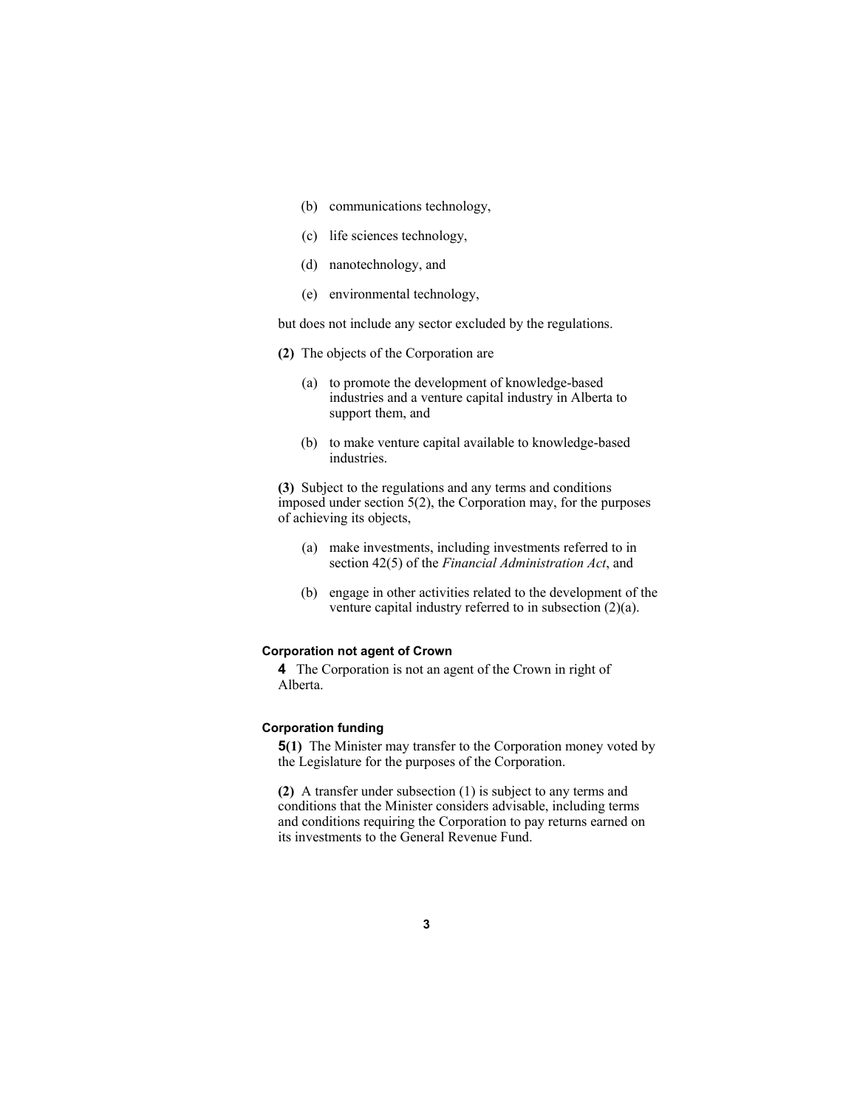- (b) communications technology,
- (c) life sciences technology,
- (d) nanotechnology, and
- (e) environmental technology,

but does not include any sector excluded by the regulations.

- **(2)** The objects of the Corporation are
	- (a) to promote the development of knowledge-based industries and a venture capital industry in Alberta to support them, and
	- (b) to make venture capital available to knowledge-based industries.

**(3)** Subject to the regulations and any terms and conditions imposed under section 5(2), the Corporation may, for the purposes of achieving its objects,

- (a) make investments, including investments referred to in section 42(5) of the *Financial Administration Act*, and
- (b) engage in other activities related to the development of the venture capital industry referred to in subsection (2)(a).

#### **Corporation not agent of Crown**

**4** The Corporation is not an agent of the Crown in right of Alberta.

#### **Corporation funding**

**5(1)** The Minister may transfer to the Corporation money voted by the Legislature for the purposes of the Corporation.

**(2)** A transfer under subsection (1) is subject to any terms and conditions that the Minister considers advisable, including terms and conditions requiring the Corporation to pay returns earned on its investments to the General Revenue Fund.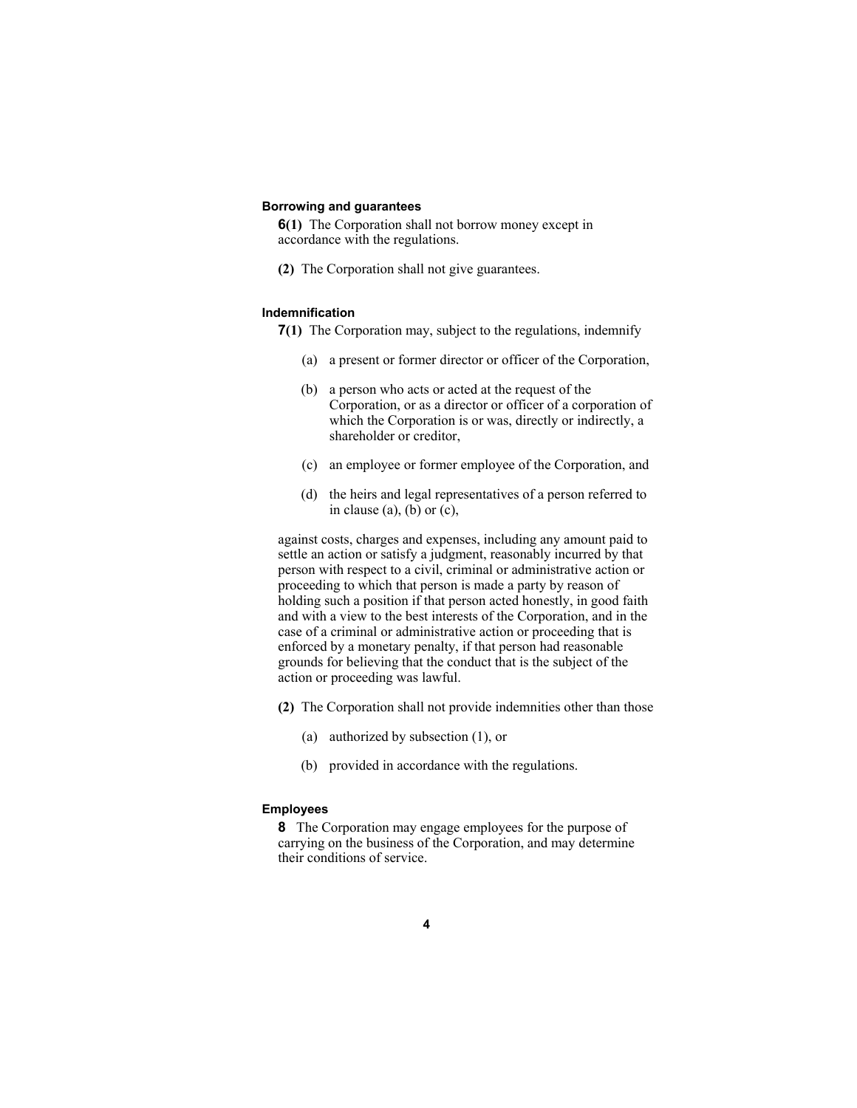#### **Borrowing and guarantees**

**6(1)** The Corporation shall not borrow money except in accordance with the regulations.

**(2)** The Corporation shall not give guarantees.

#### **Indemnification**

**7(1)** The Corporation may, subject to the regulations, indemnify

- (a) a present or former director or officer of the Corporation,
- (b) a person who acts or acted at the request of the Corporation, or as a director or officer of a corporation of which the Corporation is or was, directly or indirectly, a shareholder or creditor,
- (c) an employee or former employee of the Corporation, and
- (d) the heirs and legal representatives of a person referred to in clause (a), (b) or  $(c)$ ,

against costs, charges and expenses, including any amount paid to settle an action or satisfy a judgment, reasonably incurred by that person with respect to a civil, criminal or administrative action or proceeding to which that person is made a party by reason of holding such a position if that person acted honestly, in good faith and with a view to the best interests of the Corporation, and in the case of a criminal or administrative action or proceeding that is enforced by a monetary penalty, if that person had reasonable grounds for believing that the conduct that is the subject of the action or proceeding was lawful.

- **(2)** The Corporation shall not provide indemnities other than those
	- (a) authorized by subsection (1), or
	- (b) provided in accordance with the regulations.

#### **Employees**

**8** The Corporation may engage employees for the purpose of carrying on the business of the Corporation, and may determine their conditions of service.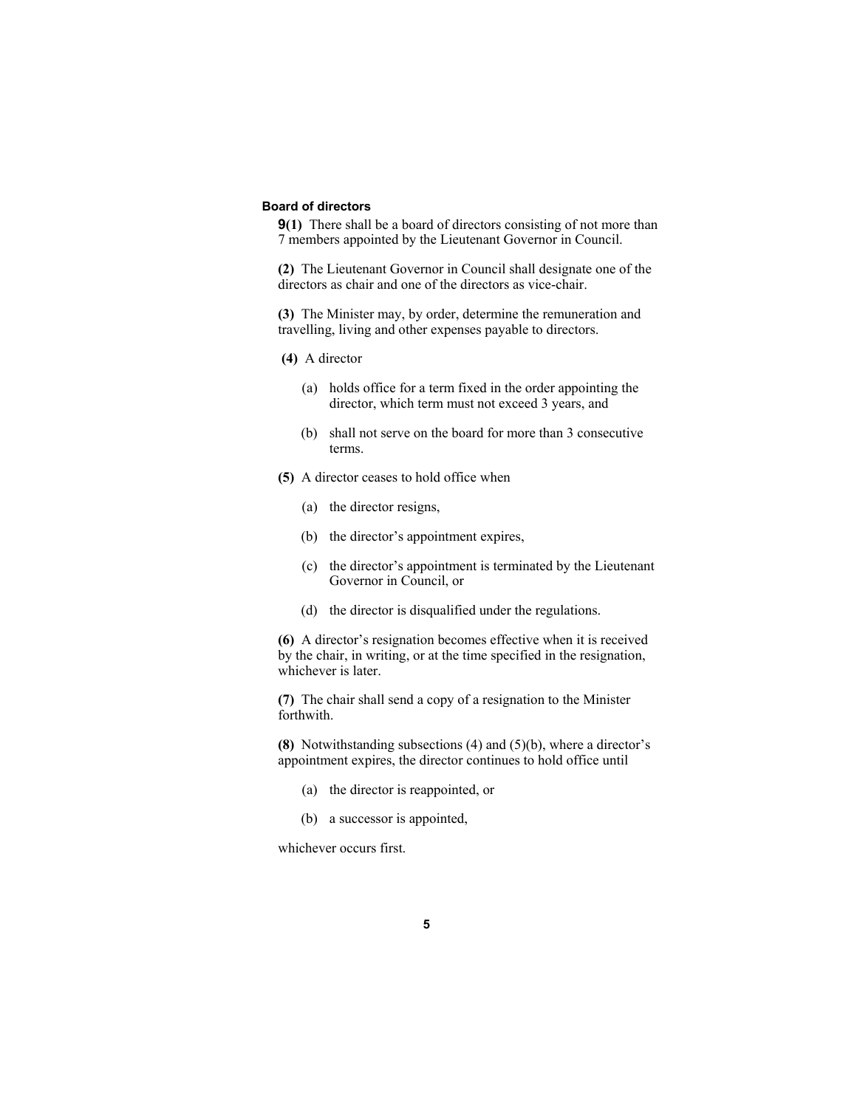#### **Board of directors**

**9(1)** There shall be a board of directors consisting of not more than 7 members appointed by the Lieutenant Governor in Council.

**(2)** The Lieutenant Governor in Council shall designate one of the directors as chair and one of the directors as vice-chair.

**(3)** The Minister may, by order, determine the remuneration and travelling, living and other expenses payable to directors.

#### **(4)** A director

- (a) holds office for a term fixed in the order appointing the director, which term must not exceed 3 years, and
- (b) shall not serve on the board for more than 3 consecutive terms.
- **(5)** A director ceases to hold office when
	- (a) the director resigns,
	- (b) the director's appointment expires,
	- (c) the director's appointment is terminated by the Lieutenant Governor in Council, or
	- (d) the director is disqualified under the regulations.

**(6)** A director's resignation becomes effective when it is received by the chair, in writing, or at the time specified in the resignation, whichever is later.

**(7)** The chair shall send a copy of a resignation to the Minister forthwith.

**(8)** Notwithstanding subsections (4) and (5)(b), where a director's appointment expires, the director continues to hold office until

- (a) the director is reappointed, or
- (b) a successor is appointed,

whichever occurs first.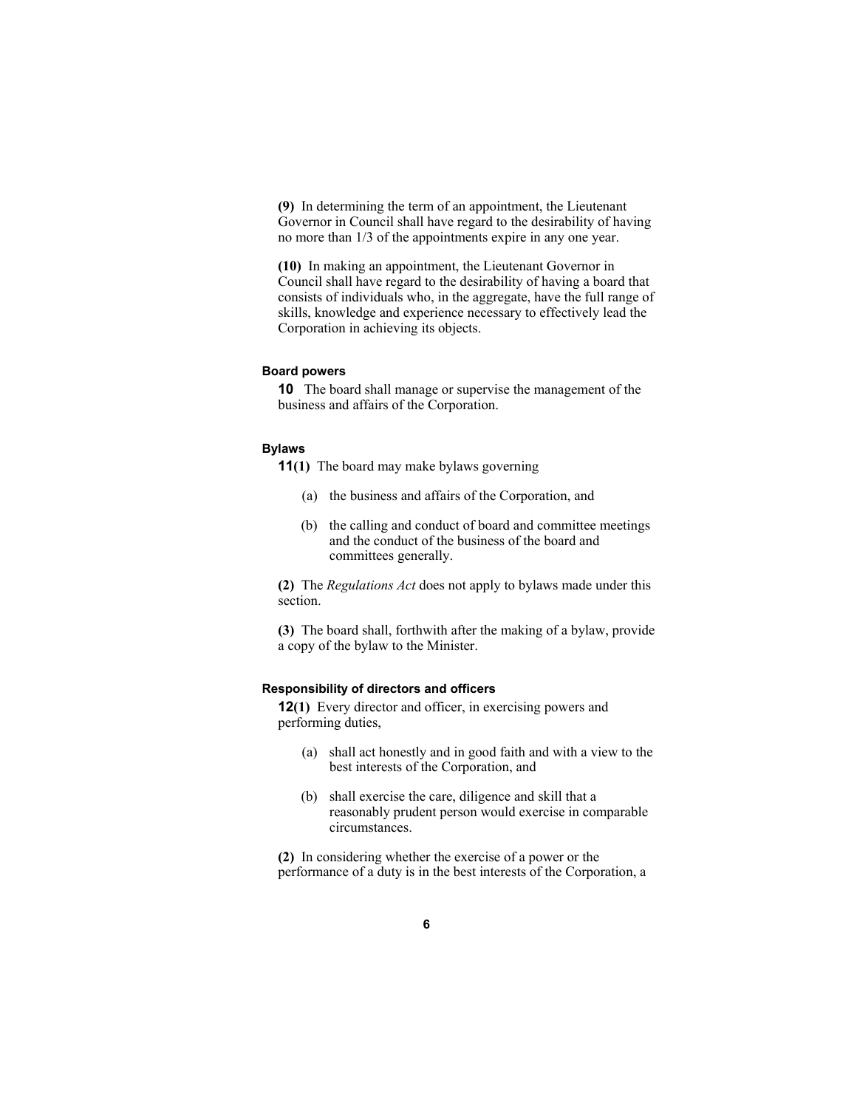**(9)** In determining the term of an appointment, the Lieutenant Governor in Council shall have regard to the desirability of having no more than 1/3 of the appointments expire in any one year.

**(10)** In making an appointment, the Lieutenant Governor in Council shall have regard to the desirability of having a board that consists of individuals who, in the aggregate, have the full range of skills, knowledge and experience necessary to effectively lead the Corporation in achieving its objects.

#### **Board powers**

**10** The board shall manage or supervise the management of the business and affairs of the Corporation.

#### **Bylaws**

**11(1)** The board may make bylaws governing

- (a) the business and affairs of the Corporation, and
- (b) the calling and conduct of board and committee meetings and the conduct of the business of the board and committees generally.

**(2)** The *Regulations Act* does not apply to bylaws made under this section.

**(3)** The board shall, forthwith after the making of a bylaw, provide a copy of the bylaw to the Minister.

#### **Responsibility of directors and officers**

**12(1)** Every director and officer, in exercising powers and performing duties,

- (a) shall act honestly and in good faith and with a view to the best interests of the Corporation, and
- (b) shall exercise the care, diligence and skill that a reasonably prudent person would exercise in comparable circumstances.

**(2)** In considering whether the exercise of a power or the performance of a duty is in the best interests of the Corporation, a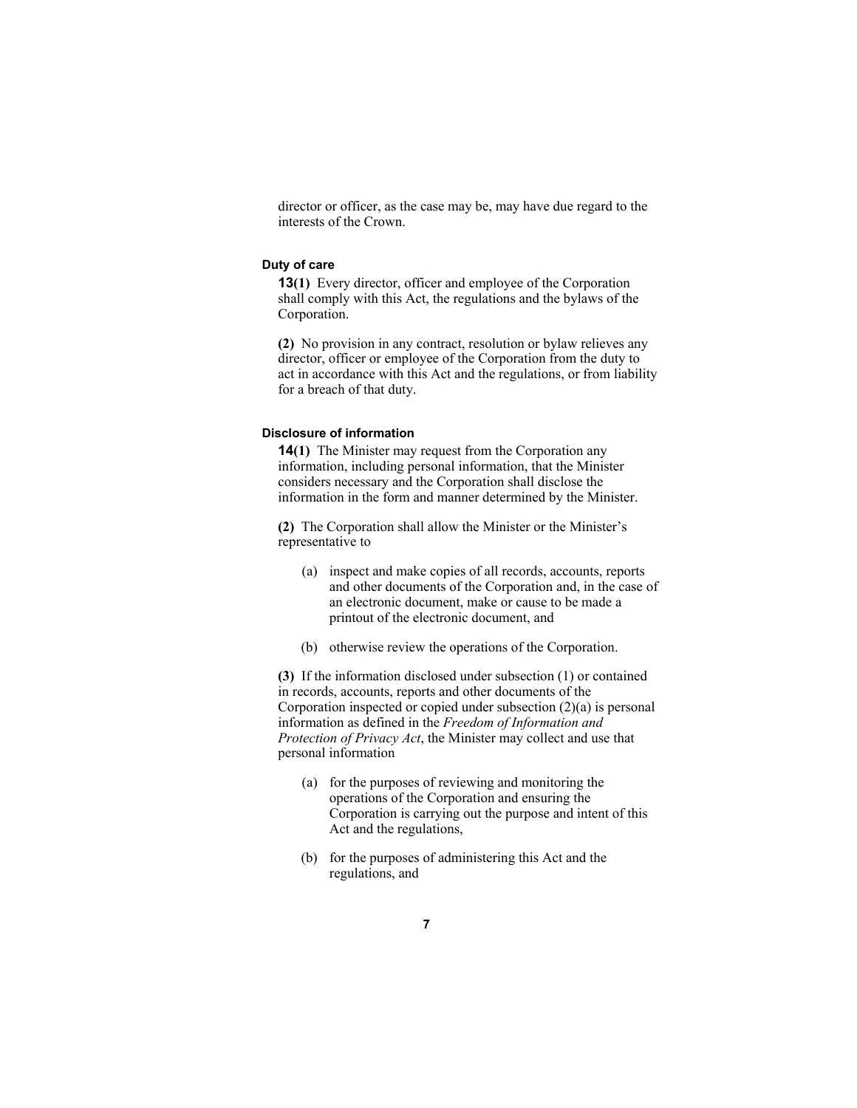director or officer, as the case may be, may have due regard to the interests of the Crown.

#### **Duty of care**

**13(1)** Every director, officer and employee of the Corporation shall comply with this Act, the regulations and the bylaws of the Corporation.

**(2)** No provision in any contract, resolution or bylaw relieves any director, officer or employee of the Corporation from the duty to act in accordance with this Act and the regulations, or from liability for a breach of that duty.

#### **Disclosure of information**

**14(1)** The Minister may request from the Corporation any information, including personal information, that the Minister considers necessary and the Corporation shall disclose the information in the form and manner determined by the Minister.

**(2)** The Corporation shall allow the Minister or the Minister's representative to

- (a) inspect and make copies of all records, accounts, reports and other documents of the Corporation and, in the case of an electronic document, make or cause to be made a printout of the electronic document, and
- (b) otherwise review the operations of the Corporation.

**(3)** If the information disclosed under subsection (1) or contained in records, accounts, reports and other documents of the Corporation inspected or copied under subsection (2)(a) is personal information as defined in the *Freedom of Information and Protection of Privacy Act*, the Minister may collect and use that personal information

- (a) for the purposes of reviewing and monitoring the operations of the Corporation and ensuring the Corporation is carrying out the purpose and intent of this Act and the regulations,
- (b) for the purposes of administering this Act and the regulations, and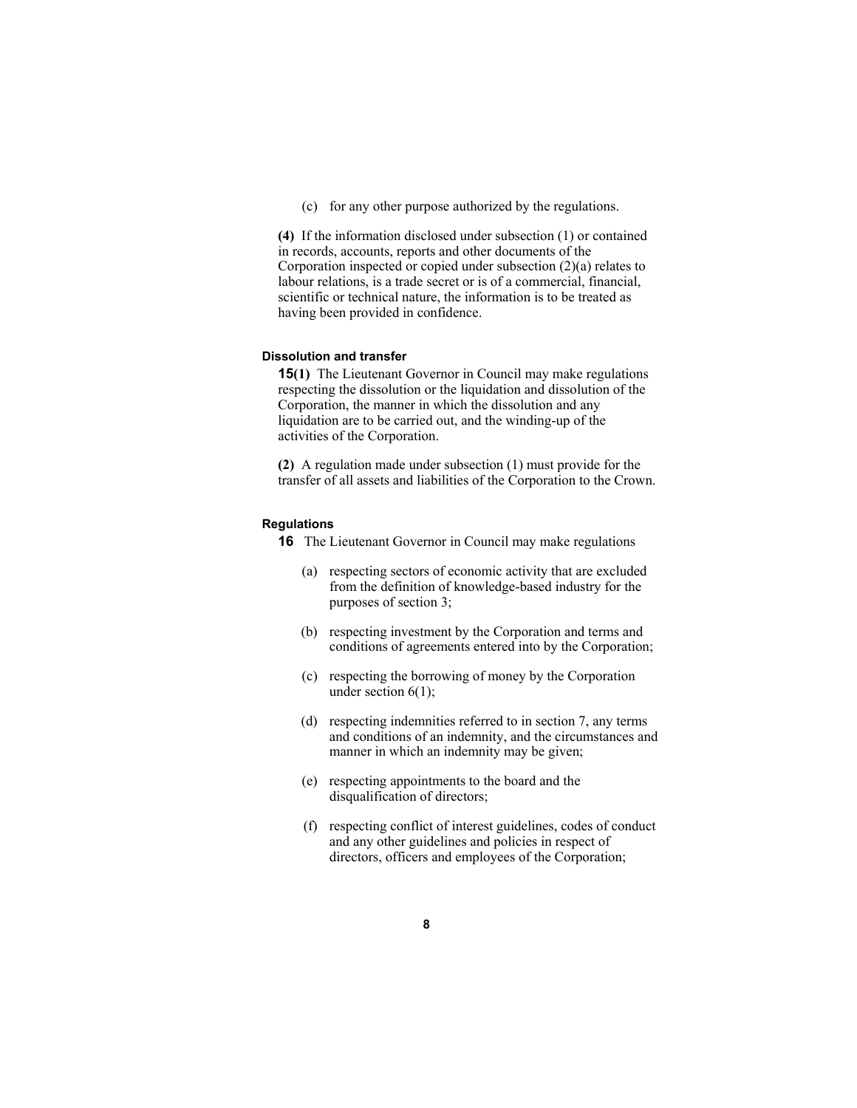(c) for any other purpose authorized by the regulations.

**(4)** If the information disclosed under subsection (1) or contained in records, accounts, reports and other documents of the Corporation inspected or copied under subsection (2)(a) relates to labour relations, is a trade secret or is of a commercial, financial, scientific or technical nature, the information is to be treated as having been provided in confidence.

#### **Dissolution and transfer**

**15(1)** The Lieutenant Governor in Council may make regulations respecting the dissolution or the liquidation and dissolution of the Corporation, the manner in which the dissolution and any liquidation are to be carried out, and the winding-up of the activities of the Corporation.

**(2)** A regulation made under subsection (1) must provide for the transfer of all assets and liabilities of the Corporation to the Crown.

#### **Regulations**

**16** The Lieutenant Governor in Council may make regulations

- (a) respecting sectors of economic activity that are excluded from the definition of knowledge-based industry for the purposes of section 3;
- (b) respecting investment by the Corporation and terms and conditions of agreements entered into by the Corporation;
- (c) respecting the borrowing of money by the Corporation under section 6(1);
- (d) respecting indemnities referred to in section 7, any terms and conditions of an indemnity, and the circumstances and manner in which an indemnity may be given;
- (e) respecting appointments to the board and the disqualification of directors;
- (f) respecting conflict of interest guidelines, codes of conduct and any other guidelines and policies in respect of directors, officers and employees of the Corporation;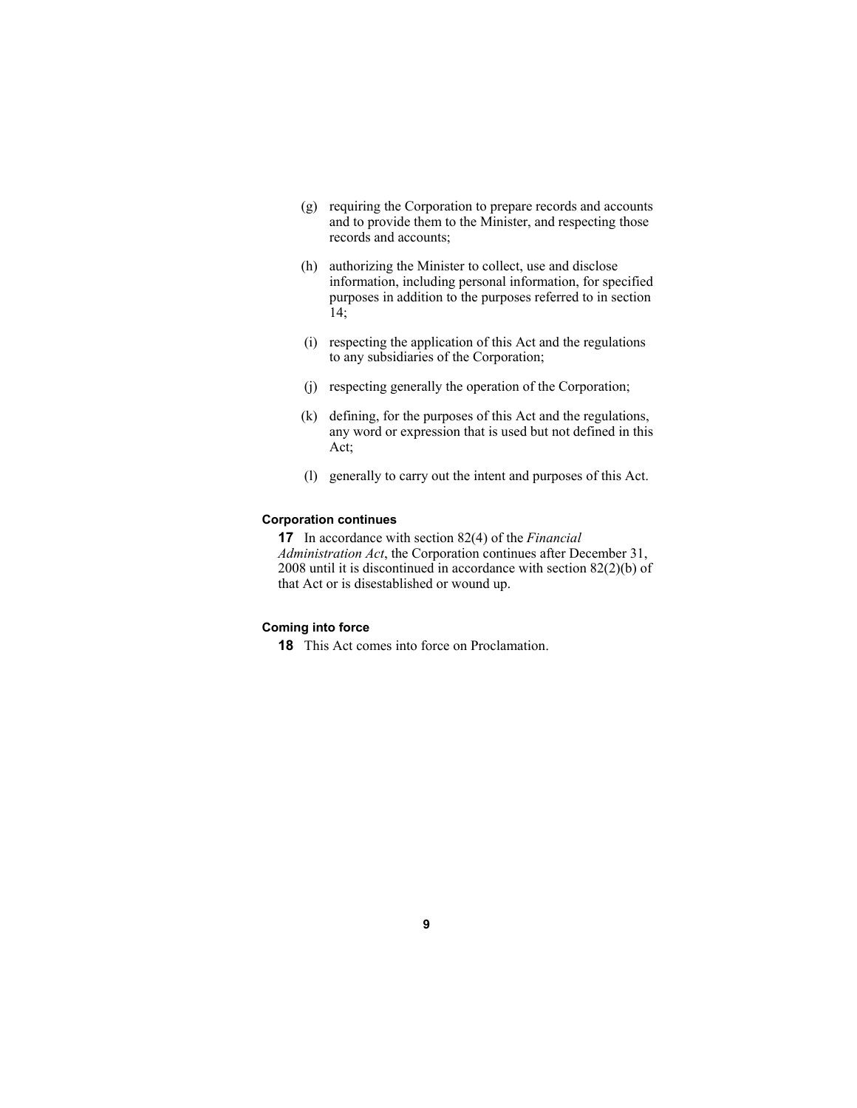- (g) requiring the Corporation to prepare records and accounts and to provide them to the Minister, and respecting those records and accounts;
- (h) authorizing the Minister to collect, use and disclose information, including personal information, for specified purposes in addition to the purposes referred to in section 14;
- (i) respecting the application of this Act and the regulations to any subsidiaries of the Corporation;
- (j) respecting generally the operation of the Corporation;
- (k) defining, for the purposes of this Act and the regulations, any word or expression that is used but not defined in this Act;
- (l) generally to carry out the intent and purposes of this Act.

#### **Corporation continues**

**17** In accordance with section 82(4) of the *Financial Administration Act*, the Corporation continues after December 31, 2008 until it is discontinued in accordance with section 82(2)(b) of that Act or is disestablished or wound up.

#### **Coming into force**

**18** This Act comes into force on Proclamation.